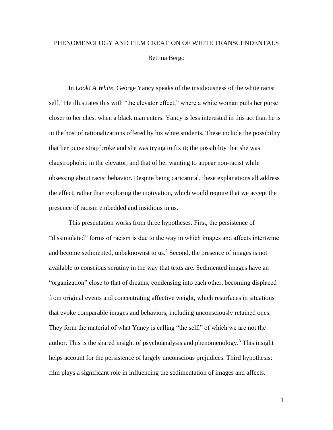## PHENOMENOLOGY AND FILM CREATION OF WHITE TRANSCENDENTALS Bettina Bergo

In *Look! A White*, George Yancy speaks of the insidiousness of the white racist self.<sup>1</sup> He illustrates this with "the elevator effect," where a white woman pulls her purse closer to her chest when a black man enters. Yancy is less interested in this act than he is in the host of rationalizations offered by his white students. These include the possibility that her purse strap broke and she was trying to fix it; the possibility that she was claustrophobic in the elevator, and that of her wanting to appear non-racist while obsessing about racist behavior. Despite being caricatural, these explanations all address the effect, rather than exploring the motivation, which would require that we accept the presence of racism embedded and insidious in us.

This presentation works from three hypotheses. First, the persistence of "dissimulated" forms of racism is due to the way in which images and affects intertwine and become sedimented, unbeknownst to us. <sup>2</sup> Second, the presence of images is not available to conscious scrutiny in the way that texts are. Sedimented images have an "organization" close to that of dreams, condensing into each other, becoming displaced from original events and concentrating affective weight, which resurfaces in situations that evoke comparable images and behaviors, including unconsciously retained ones. They form the material of what Yancy is calling "the self," of which we are not the author. This is the shared insight of psychoanalysis and phenomenology.<sup>3</sup> This insight helps account for the persistence of largely unconscious prejudices. Third hypothesis: film plays a significant role in influencing the sedimentation of images and affects.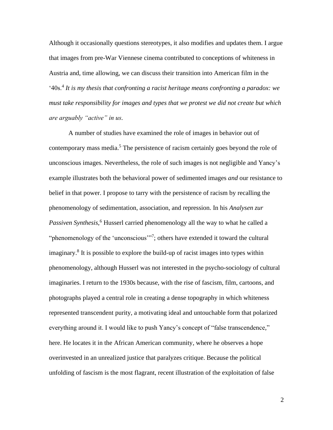Although it occasionally questions stereotypes, it also modifies and updates them. I argue that images from pre-War Viennese cinema contributed to conceptions of whiteness in Austria and, time allowing, we can discuss their transition into American film in the <sup>4</sup> 40s.<sup>4</sup> It is my thesis that confronting a racist heritage means confronting a paradox: we *must take responsibility for images and types that we protest we did not create but which are arguably "active" in us.*

A number of studies have examined the role of images in behavior out of contemporary mass media.<sup>5</sup> The persistence of racism certainly goes beyond the role of unconscious images. Nevertheless, the role of such images is not negligible and Yancy's example illustrates both the behavioral power of sedimented images *and* our resistance to belief in that power. I propose to tarry with the persistence of racism by recalling the phenomenology of sedimentation, association, and repression. In his *Analysen zur Passiven Synthesis*, <sup>6</sup> Husserl carried phenomenology all the way to what he called a "phenomenology of the 'unconscious'"<sup>7</sup>; others have extended it toward the cultural imaginary.<sup>8</sup> It is possible to explore the build-up of racist images into types within phenomenology, although Husserl was not interested in the psycho-sociology of cultural imaginaries. I return to the 1930s because, with the rise of fascism, film, cartoons, and photographs played a central role in creating a dense topography in which whiteness represented transcendent purity, a motivating ideal and untouchable form that polarized everything around it. I would like to push Yancy's concept of "false transcendence," here. He locates it in the African American community, where he observes a hope overinvested in an unrealized justice that paralyzes critique. Because the political unfolding of fascism is the most flagrant, recent illustration of the exploitation of false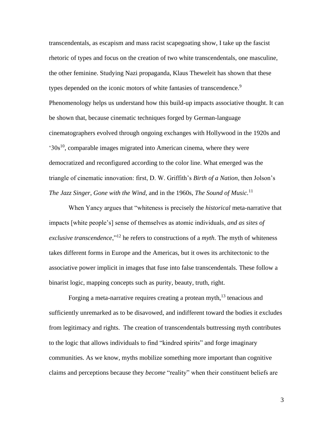transcendentals, as escapism and mass racist scapegoating show, I take up the fascist rhetoric of types and focus on the creation of two white transcendentals, one masculine, the other feminine. Studying Nazi propaganda, Klaus Theweleit has shown that these types depended on the iconic motors of white fantasies of transcendence.<sup>9</sup> Phenomenology helps us understand how this build-up impacts associative thought. It can be shown that, because cinematic techniques forged by German-language cinematographers evolved through ongoing exchanges with Hollywood in the 1920s and '30s<sup>10</sup>, comparable images migrated into American cinema, where they were democratized and reconfigured according to the color line. What emerged was the triangle of cinematic innovation: first, D. W. Griffith's *Birth of a Nation*, then Jolson's *The Jazz Singer*, *Gone with the Wind*, and in the 1960s, *The Sound of Music.* 11

When Yancy argues that "whiteness is precisely the *historical* meta-narrative that impacts [white people's] sense of themselves as atomic individuals, *and as sites of exclusive transcendence*,"<sup>12</sup> he refers to constructions of a *myth*. The myth of whiteness takes different forms in Europe and the Americas, but it owes its architectonic to the associative power implicit in images that fuse into false transcendentals. These follow a binarist logic, mapping concepts such as purity, beauty, truth, right.

Forging a meta-narrative requires creating a protean myth,<sup>13</sup> tenacious and sufficiently unremarked as to be disavowed, and indifferent toward the bodies it excludes from legitimacy and rights. The creation of transcendentals buttressing myth contributes to the logic that allows individuals to find "kindred spirits" and forge imaginary communities. As we know, myths mobilize something more important than cognitive claims and perceptions because they *become* "reality" when their constituent beliefs are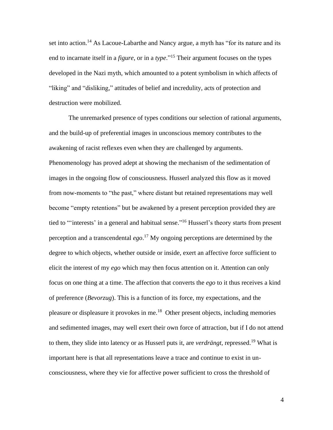set into action.<sup>14</sup> As Lacoue-Labarthe and Nancy argue, a myth has "for its nature and its end to incarnate itself in a *figure*, or in a *type*." <sup>15</sup> Their argument focuses on the types developed in the Nazi myth, which amounted to a potent symbolism in which affects of "liking" and "disliking," attitudes of belief and incredulity, acts of protection and destruction were mobilized.

The unremarked presence of types conditions our selection of rational arguments, and the build-up of preferential images in unconscious memory contributes to the awakening of racist reflexes even when they are challenged by arguments. Phenomenology has proved adept at showing the mechanism of the sedimentation of images in the ongoing flow of consciousness. Husserl analyzed this flow as it moved from now-moments to "the past," where distant but retained representations may well become "empty retentions" but be awakened by a present perception provided they are tied to "'interests' in a general and habitual sense."<sup>16</sup> Husserl's theory starts from present perception and a transcendental *ego*. <sup>17</sup> My ongoing perceptions are determined by the degree to which objects, whether outside or inside, exert an affective force sufficient to elicit the interest of my *ego* which may then focus attention on it. Attention can only focus on one thing at a time. The affection that converts the *ego* to it thus receives a kind of preference (*Bevorzug*). This is a function of its force, my expectations, and the pleasure or displeasure it provokes in me.<sup>18</sup> Other present objects, including memories and sedimented images, may well exert their own force of attraction, but if I do not attend to them, they slide into latency or as Husserl puts it, are *verdrängt*, repressed.<sup>19</sup> What is important here is that all representations leave a trace and continue to exist in unconsciousness, where they vie for affective power sufficient to cross the threshold of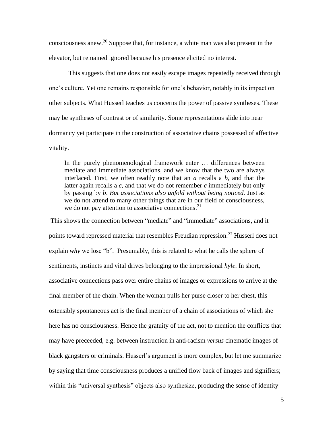consciousness anew.<sup>20</sup> Suppose that, for instance, a white man was also present in the elevator, but remained ignored because his presence elicited no interest.

This suggests that one does not easily escape images repeatedly received through one's culture. Yet one remains responsible for one's behavior, notably in its impact on other subjects. What Husserl teaches us concerns the power of passive syntheses. These may be syntheses of contrast or of similarity. Some representations slide into near dormancy yet participate in the construction of associative chains possessed of affective vitality.

In the purely phenomenological framework enter … differences between mediate and immediate associations, and we know that the two are always interlaced. First, we often readily note that an *a* recalls a *b*, and that the latter again recalls a *c*, and that we do not remember *c* immediately but only by passing by *b*. *But associations also unfold without being noticed.* Just as we do not attend to many other things that are in our field of consciousness, we do not pay attention to associative connections.<sup>21</sup>

This shows the connection between "mediate" and "immediate" associations, and it points toward repressed material that resembles Freudian repression.<sup>22</sup> Husserl does not explain *why* we lose "b". Presumably, this is related to what he calls the sphere of sentiments, instincts and vital drives belonging to the impressional *hylē*. In short, associative connections pass over entire chains of images or expressions to arrive at the final member of the chain. When the woman pulls her purse closer to her chest, this ostensibly spontaneous act is the final member of a chain of associations of which she here has no consciousness. Hence the gratuity of the act, not to mention the conflicts that may have preceeded, e.g. between instruction in anti-racism *versus* cinematic images of black gangsters or criminals. Husserl's argument is more complex, but let me summarize by saying that time consciousness produces a unified flow back of images and signifiers; within this "universal synthesis" objects also synthesize, producing the sense of identity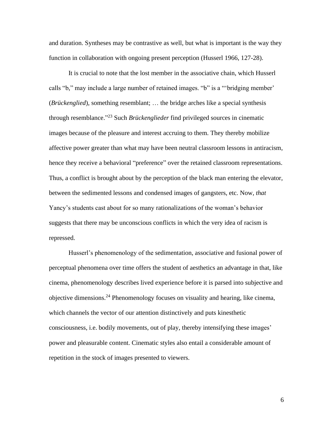and duration. Syntheses may be contrastive as well, but what is important is the way they function in collaboration with ongoing present perception (Husserl 1966, 127-28).

It is crucial to note that the lost member in the associative chain, which Husserl calls "b," may include a large number of retained images. "b" is a "'bridging member' (*Brückenglied*), something resemblant; … the bridge arches like a special synthesis through resemblance." <sup>23</sup> Such *Brückenglieder* find privileged sources in cinematic images because of the pleasure and interest accruing to them. They thereby mobilize affective power greater than what may have been neutral classroom lessons in antiracism, hence they receive a behavioral "preference" over the retained classroom representations. Thus, a conflict is brought about by the perception of the black man entering the elevator, between the sedimented lessons and condensed images of gangsters, etc. Now, *that* Yancy's students cast about for so many rationalizations of the woman's behavior suggests that there may be unconscious conflicts in which the very idea of racism is repressed.

Husserl's phenomenology of the sedimentation, associative and fusional power of perceptual phenomena over time offers the student of aesthetics an advantage in that, like cinema, phenomenology describes lived experience before it is parsed into subjective and objective dimensions.<sup>24</sup> Phenomenology focuses on visuality and hearing, like cinema, which channels the vector of our attention distinctively and puts kinesthetic consciousness, i.e. bodily movements, out of play, thereby intensifying these images' power and pleasurable content. Cinematic styles also entail a considerable amount of repetition in the stock of images presented to viewers.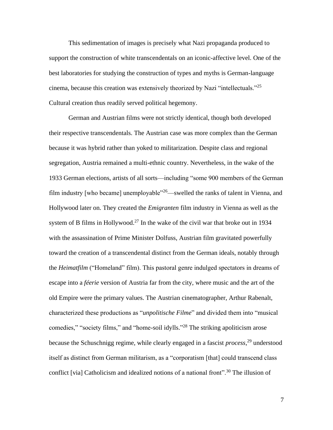This sedimentation of images is precisely what Nazi propaganda produced to support the construction of white transcendentals on an iconic-affective level. One of the best laboratories for studying the construction of types and myths is German-language cinema, because this creation was extensively theorized by Nazi "intellectuals."<sup>25</sup> Cultural creation thus readily served political hegemony.

German and Austrian films were not strictly identical, though both developed their respective transcendentals. The Austrian case was more complex than the German because it was hybrid rather than yoked to militarization. Despite class and regional segregation, Austria remained a multi-ethnic country. Nevertheless, in the wake of the 1933 German elections, artists of all sorts—including "some 900 members of the German film industry [who became] unemployable<sup>"26</sup>—swelled the ranks of talent in Vienna, and Hollywood later on. They created the *Emigranten* film industry in Vienna as well as the system of B films in Hollywood.<sup>27</sup> In the wake of the civil war that broke out in 1934 with the assassination of Prime Minister Dolfuss, Austrian film gravitated powerfully toward the creation of a transcendental distinct from the German ideals, notably through the *Heimatfilm* ("Homeland" film). This pastoral genre indulged spectators in dreams of escape into a *féerie* version of Austria far from the city, where music and the art of the old Empire were the primary values. The Austrian cinematographer, Arthur Rabenalt, characterized these productions as "*unpolitische Filme*" and divided them into "musical comedies," "society films," and "home-soil idylls."<sup>28</sup> The striking apoliticism arose because the Schuschnigg regime, while clearly engaged in a fascist *process*, <sup>29</sup> understood itself as distinct from German militarism, as a "corporatism [that] could transcend class conflict [via] Catholicism and idealized notions of a national front".<sup>30</sup> The illusion of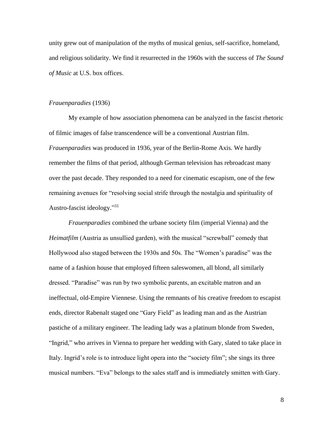unity grew out of manipulation of the myths of musical genius, self-sacrifice, homeland, and religious solidarity. We find it resurrected in the 1960s with the success of *The Sound of Music* at U.S. box offices.

## *Frauenparadies* (1936)

My example of how association phenomena can be analyzed in the fascist rhetoric of filmic images of false transcendence will be a conventional Austrian film. *Frauenparadies* was produced in 1936, year of the Berlin-Rome Axis. We hardly remember the films of that period, although German television has rebroadcast many over the past decade. They responded to a need for cinematic escapism, one of the few remaining avenues for "resolving social strife through the nostalgia and spirituality of Austro-fascist ideology."31

*Frauenparadies* combined the urbane society film (imperial Vienna) and the *Heimatfilm* (Austria as unsullied garden), with the musical "screwball" comedy that Hollywood also staged between the 1930s and 50s. The "Women's paradise" was the name of a fashion house that employed fifteen saleswomen, all blond, all similarly dressed. "Paradise" was run by two symbolic parents, an excitable matron and an ineffectual, old-Empire Viennese. Using the remnants of his creative freedom to escapist ends, director Rabenalt staged one "Gary Field" as leading man and as the Austrian pastiche of a military engineer. The leading lady was a platinum blonde from Sweden, "Ingrid," who arrives in Vienna to prepare her wedding with Gary, slated to take place in Italy. Ingrid's role is to introduce light opera into the "society film"; she sings its three musical numbers. "Eva" belongs to the sales staff and is immediately smitten with Gary.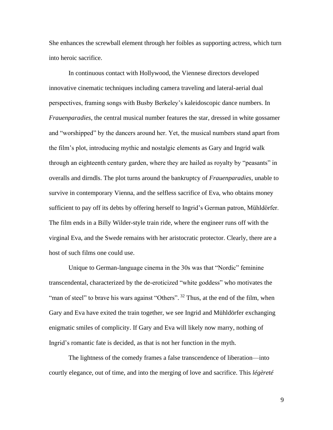She enhances the screwball element through her foibles as supporting actress, which turn into heroic sacrifice.

In continuous contact with Hollywood, the Viennese directors developed innovative cinematic techniques including camera traveling and lateral-aerial dual perspectives, framing songs with Busby Berkeley's kaleidoscopic dance numbers. In *Frauenparadies*, the central musical number features the star, dressed in white gossamer and "worshipped" by the dancers around her. Yet, the musical numbers stand apart from the film's plot, introducing mythic and nostalgic elements as Gary and Ingrid walk through an eighteenth century garden, where they are hailed as royalty by "peasants" in overalls and dirndls. The plot turns around the bankruptcy of *Frauenparadies*, unable to survive in contemporary Vienna, and the selfless sacrifice of Eva, who obtains money sufficient to pay off its debts by offering herself to Ingrid's German patron, Mühldörfer. The film ends in a Billy Wilder-style train ride, where the engineer runs off with the virginal Eva, and the Swede remains with her aristocratic protector. Clearly, there are a host of such films one could use.

Unique to German-language cinema in the 30s was that "Nordic" feminine transcendental, characterized by the de-eroticized "white goddess" who motivates the "man of steel" to brave his wars against "Others". <sup>32</sup> Thus, at the end of the film, when Gary and Eva have exited the train together, we see Ingrid and Mühldörfer exchanging enigmatic smiles of complicity. If Gary and Eva will likely now marry, nothing of Ingrid's romantic fate is decided, as that is not her function in the myth.

The lightness of the comedy frames a false transcendence of liberation—into courtly elegance, out of time, and into the merging of love and sacrifice. This *légèreté*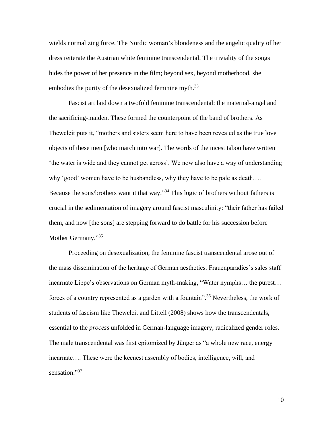wields normalizing force. The Nordic woman's blondeness and the angelic quality of her dress reiterate the Austrian white feminine transcendental. The triviality of the songs hides the power of her presence in the film; beyond sex, beyond motherhood, she embodies the purity of the desexualized feminine myth.<sup>33</sup>

Fascist art laid down a twofold feminine transcendental: the maternal-angel and the sacrificing-maiden. These formed the counterpoint of the band of brothers. As Theweleit puts it, "mothers and sisters seem here to have been revealed as the true love objects of these men [who march into war]. The words of the incest taboo have written 'the water is wide and they cannot get across'. We now also have a way of understanding why 'good' women have to be husbandless, why they have to be pale as death…. Because the sons/brothers want it that way."<sup>34</sup> This logic of brothers without fathers is crucial in the sedimentation of imagery around fascist masculinity: "their father has failed them, and now [the sons] are stepping forward to do battle for his succession before Mother Germany."35

Proceeding on desexualization, the feminine fascist transcendental arose out of the mass dissemination of the heritage of German aesthetics. Frauenparadies's sales staff incarnate Lippe's observations on German myth-making, "Water nymphs… the purest… forces of a country represented as a garden with a fountain".<sup>36</sup> Nevertheless, the work of students of fascism like Theweleit and Littell (2008) shows how the transcendentals, essential to the *process* unfolded in German-language imagery, radicalized gender roles. The male transcendental was first epitomized by Jünger as "a whole new race, energy incarnate…. These were the keenest assembly of bodies, intelligence, will, and sensation."37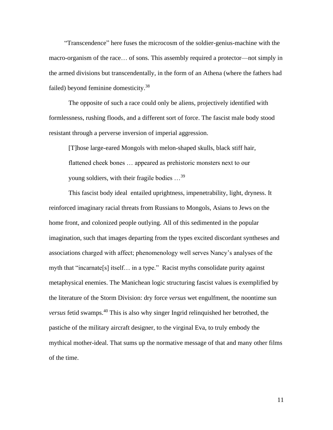"Transcendence" here fuses the microcosm of the soldier-genius-machine with the macro-organism of the race… of sons. This assembly required a protector—not simply in the armed divisions but transcendentally, in the form of an Athena (where the fathers had failed) beyond feminine domesticity.<sup>38</sup>

The opposite of such a race could only be aliens, projectively identified with formlessness, rushing floods, and a different sort of force. The fascist male body stood resistant through a perverse inversion of imperial aggression.

[T]hose large-eared Mongols with melon-shaped skulls, black stiff hair, flattened cheek bones … appeared as prehistoric monsters next to our young soldiers, with their fragile bodies ...<sup>39</sup>

This fascist body ideal entailed uprightness, impenetrability, light, dryness. It reinforced imaginary racial threats from Russians to Mongols, Asians to Jews on the home front, and colonized people outlying. All of this sedimented in the popular imagination, such that images departing from the types excited discordant syntheses and associations charged with affect; phenomenology well serves Nancy's analyses of the myth that "incarnate[s] itself… in a type." Racist myths consolidate purity against metaphysical enemies. The Manichean logic structuring fascist values is exemplified by the literature of the Storm Division: dry force *versus* wet engulfment, the noontime sun *versus* fetid swamps. <sup>40</sup> This is also why singer Ingrid relinquished her betrothed, the pastiche of the military aircraft designer, to the virginal Eva, to truly embody the mythical mother-ideal. That sums up the normative message of that and many other films of the time.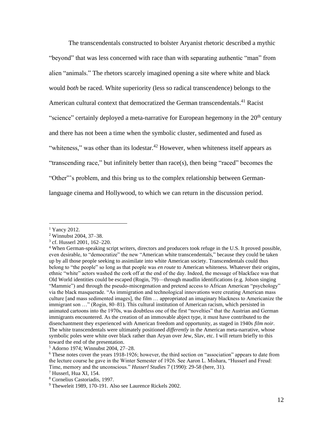The transcendentals constructed to bolster Aryanist rhetoric described a mythic "beyond" that was less concerned with race than with separating authentic "man" from alien "animals." The rhetors scarcely imagined opening a site where white and black would *both* be raced. White superiority (less so radical transcendence) belongs to the American cultural context that democratized the German transcendentals.<sup>41</sup> Racist "science" certainly deployed a meta-narrative for European hegemony in the 20<sup>th</sup> century and there has not been a time when the symbolic cluster, sedimented and fused as "whiteness," was other than its lodestar.<sup>42</sup> However, when whiteness itself appears as "transcending race," but infinitely better than race(s), then being "raced" becomes the "Other"'s problem, and this bring us to the complex relationship between Germanlanguage cinema and Hollywood, to which we can return in the discussion period.

<sup>&</sup>lt;sup>1</sup> Yancy 2012.

<sup>2</sup> Winnubst 2004, 37–38.

<sup>3</sup> cf. Husserl 2001, 162–220.

<sup>4</sup> When German-speaking script writers, directors and producers took refuge in the U.S. It proved possible, even desirable, to "democratize" the new "American white transcendentals," because they could be taken up by all those people seeking to assimilate into white American society. Transcendentals could thus belong to "the people" so long as that people was *en route* to American whiteness. Whatever their origins, ethnic "white" actors washed the cork off at the end of the day. Indeed, the message of blackface was that Old World identities could be escaped (Rogin, 79)—through maudlin identifications (e.g. Jolson singing "Mammie") and through the pseudo-miscegenation and pretend access to African American "psychology" via the black masquerade. "As immigration and technological innovations were creating American mass culture [and mass sedimented images], the film … appropriated an imaginary blackness to Americanize the immigrant son …" (Rogin, 80–81). This cultural institution of American racism, which persisted in animated cartoons into the 1970s, was doubtless one of the first "novelties" that the Austrian and German immigrants encountered. As the creation of an immovable abject type, it must have contributed to the disenchantment they experienced with American freedom and opportunity, as staged in 1940s *film noir*. The white transcendentals were ultimately positioned *differently* in the American meta-narrative, whose symbolic poles were white over black rather than Aryan over Jew, Slav, etc. I will return briefly to this toward the end of the presentation.

<sup>5</sup> Adorno 1974; Winnubst 2004, 27–28.

<sup>&</sup>lt;sup>6</sup> These notes cover the years 1918-1926; however, the third section on "association" appears to date from the lecture course he gave in the Winter Semester of 1926. See Aaron L. Mishara, "Husserl and Freud: Time, memory and the unconscious." *Husserl Studies* 7 (1990): 29-58 (here, 31).

<sup>7</sup> Husserl, Hua XI, 154.

<sup>8</sup> Cornelius Castoriadis, 1997.

<sup>9</sup> Theweleit 1989, 170-191. Also see Laurence Rickels 2002.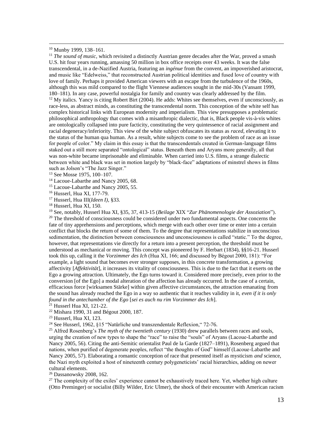<sup>10</sup> Munby 1999, 138–161.

<sup>11</sup> *The sound of music*, which revisited a distinctly Austrian genre decades after the War, proved a smash U.S. hit four years running, amassing 50 million in box office receipts over 43 weeks. It was the false transcendental, in a de-Nazified Austria, featuring an *ingénue* from the convent, an impoverished aristocrat, and music like "Edelweiss," that reconstructed Austrian political identities and fused love of country with love of family. Perhaps it provided American viewers with an escape from the turbulence of the 1960s, although this was mild compared to the flight Viennese audiences sought in the mid-30s (Vansant 1999, 180–181). In any case, powerful nostalgia for family and country was clearly addressed by the film.  $12$  My italics. Yancy is citing Robert Birt (2004). He adds: Whites see themselves, even if unconsciously, as race-less, as abstract minds, as constituting the transcendental norm. This conception of the white self has complex historical links with European modernity and imperialism. This view presupposes a problematic philosophical anthropology that comes with a misanthropic dialectic, that is, Black people vis-à-vis whites are ontologically collapsed into pure facticity, constituting the very quintessence of racial assignment and racial degeneracy/inferiority. This view of the white subject obfuscates its status as *raced*, elevating it to the status of the human qua human. As a result, white subjects come to see the problem of race as an issue for people of color." My claim in this essay is that the transcendentals created in German-language films staked out a still more separated "ontological" status. Beneath them and Aryans more generally, all that was non-white became imprisonable and eliminable. When carried into U.S. films, a strange dialectic between white and black was set in motion largely by "black-face" adaptations of minstrel shows in films such as Jolson's "The Jazz Singer."

<sup>13</sup> See Mosse 1975, 100–107.

<sup>14</sup> Lacoue-Labarthe and Nancy 2005, 68.

<sup>15</sup> Lacoue-Labarthe and Nancy 2005, 55.

<sup>16</sup> Husserl, Hua XI, 177-79.

<sup>17</sup> Husserl, Hua III(*Ideen I)*, §33.

<sup>18</sup> Husserl, Hua XI, 150.

<sup>19</sup> See, notably, Husserl Hua XI, §35, 37, 413-15 (*Beilage* XIX "*Zur Phänomenologie der Assoziation*"). <sup>20</sup> The threshold of consciousness could be considered under two fundamental aspects. One concerns the fate of tiny apprehensions and perceptions, which merge with each other over time or enter into a certain conflict that blocks the return of some of them. To the degree that representations stabilize in unconscious sedimentation, the distinction between consciousness and unconsciousness is called "static." To the degree, however, that representations vie directly for a return into a present perception, the threshold must be understood as mechanical or moving. This concept was pioneered by F. Herbart (1834), §§16-21. Husserl took this up, calling it the *Vorzimmer des Ich* (Hua XI, 166; and discussed by Bégout 2000, 181): "For example, a light sound that becomes ever stronger supposes, in this concrete transformation, a growing affectivity [*Affektivität*], it increases its vitality of consciousness. This is due to the fact that it exerts on the Ego a growing attraction. Ultimately, the Ego turns toward it. Considered more precisely, even prior to the conversion [of the Ego] a modal alteration of the affection has already occurred. In the case of a certain, efficacious force [wirksamen Stärke] within given affective circumstances, the attraction emanating from the sound has already reached the Ego in a way so authentic that it reaches validity in it, *even if it is only found in the antechamber of the Ego* [*sei es auch nu rim Vorzimmer des Ich*].

<sup>21</sup> Husserl Hua XI, 121-22.

<sup>22</sup> Mishara 1990, 31 and Bégout 2000, 187.

<sup>23</sup> Husserl, Hua XI, 123.

<sup>24</sup> See Husserl, 1962, §15 "Natürliche und transzendentale Reflexion," 72-76.

<sup>25</sup> Alfred Rosenberg's *The myth of the twentieth century* (1930) drew parallels between races and souls, urging the creation of new types to shape the "race" to raise the "souls" of Aryans (Lacoue-Labarthe and Nancy 2005, 56). Citing the anti-Semitic orientalist Paul de la Garde (1827–1891), Rosenberg argued that nations, when purified of degenerate peoples, reflect "the thoughts of God" himself (Lacoue-Labarthe and Nancy 2005, 57). Elaborating a romantic conception of race that presented itself as mysticism *and* science, the Nazi myth exploited a host of nineteenth century polygeneticists' racial hierarchies, adding on newer cultural elements.

<sup>26</sup> Dassanowsky 2008, 162.

 $27$  The complexity of the exiles' experience cannot be exhaustively traced here. Yet, whether high culture (Otto Preminger) or socialist (Billy Wilder, Eric Ulmer), the shock of their encounter with American racism